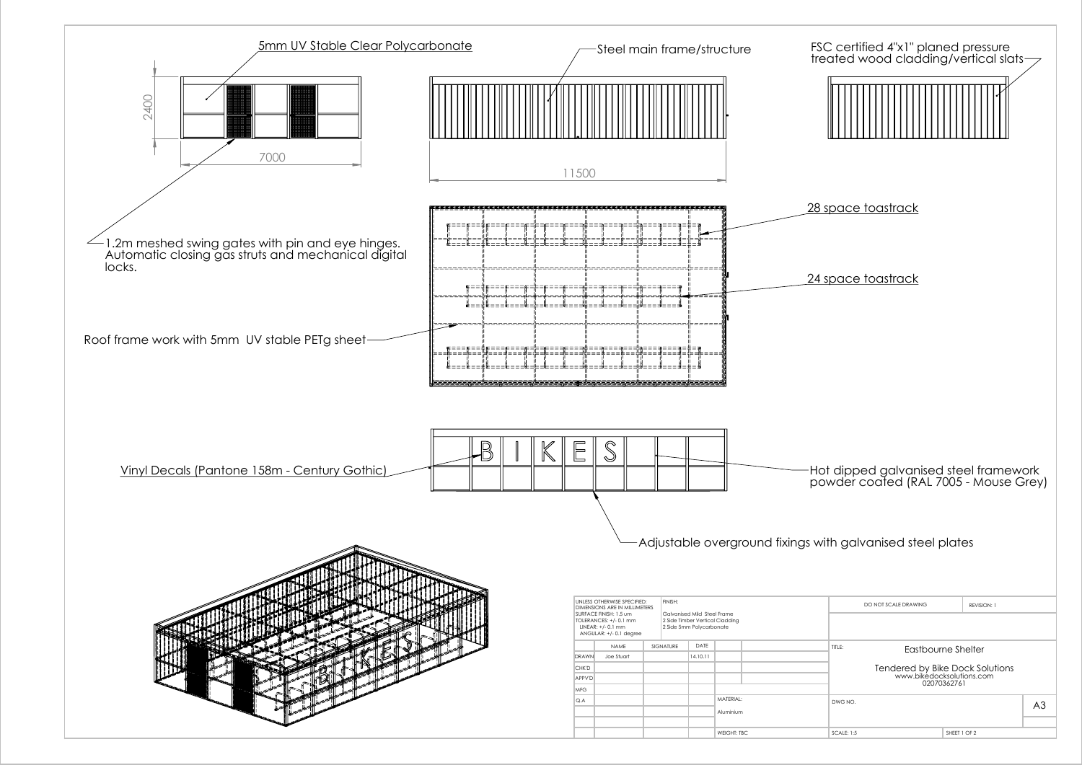

| CALF 1.5<br>ັ້<br>,,,,, | EET 1 OE 2 |
|-------------------------|------------|
|                         |            |